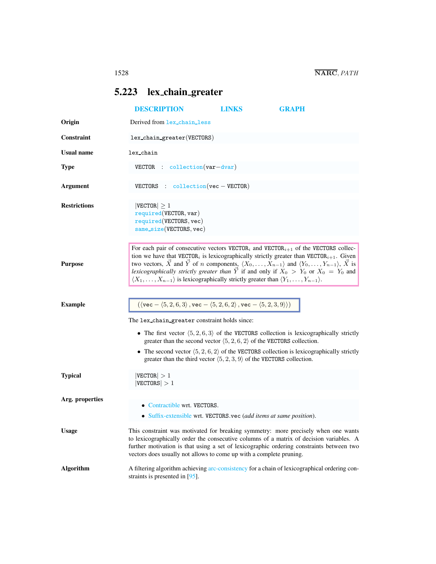## <span id="page-0-0"></span>5.223 lex chain greater

|                     | <b>DESCRIPTION</b>                                                                                                                                                                                                                                                               | LINKS | <b>GRAPH</b>                                                                                                                                                                                                                                                                                                                                                                                                                                                                           |  |  |
|---------------------|----------------------------------------------------------------------------------------------------------------------------------------------------------------------------------------------------------------------------------------------------------------------------------|-------|----------------------------------------------------------------------------------------------------------------------------------------------------------------------------------------------------------------------------------------------------------------------------------------------------------------------------------------------------------------------------------------------------------------------------------------------------------------------------------------|--|--|
| Origin              | Derived from lex_chain_less                                                                                                                                                                                                                                                      |       |                                                                                                                                                                                                                                                                                                                                                                                                                                                                                        |  |  |
| Constraint          | lex_chain_greater(VECTORS)                                                                                                                                                                                                                                                       |       |                                                                                                                                                                                                                                                                                                                                                                                                                                                                                        |  |  |
| <b>Usual name</b>   | lex_chain                                                                                                                                                                                                                                                                        |       |                                                                                                                                                                                                                                                                                                                                                                                                                                                                                        |  |  |
| <b>Type</b>         | $VECTOR$ : collection $(var-dvar)$                                                                                                                                                                                                                                               |       |                                                                                                                                                                                                                                                                                                                                                                                                                                                                                        |  |  |
| Argument            | VECTORS : $\text{collection}(vec - VECTOR)$                                                                                                                                                                                                                                      |       |                                                                                                                                                                                                                                                                                                                                                                                                                                                                                        |  |  |
| <b>Restrictions</b> | $ {\tt VECTOR}  \geq 1$<br>required(VECTOR, var)<br>required(VECTORS, vec)<br>$same\_size(VECTORS, vec)$                                                                                                                                                                         |       |                                                                                                                                                                                                                                                                                                                                                                                                                                                                                        |  |  |
| <b>Purpose</b>      | $\langle X_1,\ldots,X_{n-1}\rangle$ is lexicographically strictly greater than $\langle Y_1,\ldots,Y_{n-1}\rangle$ .                                                                                                                                                             |       | For each pair of consecutive vectors $VECTORi$ and $VECTORi+1$ of the VECTORS collec-<br>tion we have that VECTOR <sub>i</sub> is lexicographically strictly greater than VECTOR <sub>i+1</sub> . Given<br>two vectors, $\vec{X}$ and $\vec{Y}$ of <i>n</i> components, $\langle X_0, \ldots, X_{n-1} \rangle$ and $\langle Y_0, \ldots, Y_{n-1} \rangle$ , $\vec{X}$ is<br>lexicographically strictly greater than $\overrightarrow{Y}$ if and only if $X_0 > Y_0$ or $X_0 = Y_0$ and |  |  |
| <b>Example</b>      | $(\langle \text{vec} - \langle 5, 2, 6, 3 \rangle, \text{vec} - \langle 5, 2, 6, 2 \rangle, \text{vec} - \langle 5, 2, 3, 9 \rangle))$<br>The lex-chain greater constraint holds since:<br>greater than the third vector $\langle 5, 2, 3, 9 \rangle$ of the VECTORS collection. |       | • The first vector $\langle 5, 2, 6, 3 \rangle$ of the VECTORS collection is lexicographically strictly<br>greater than the second vector $\langle 5, 2, 6, 2 \rangle$ of the VECTORS collection.<br>• The second vector $\langle 5, 2, 6, 2 \rangle$ of the VECTORS collection is lexicographically strictly                                                                                                                                                                          |  |  |
| <b>Typical</b>      | $ {\tt VECTOR}  > 1$<br>$ {\tt VECTORS}  > 1$                                                                                                                                                                                                                                    |       |                                                                                                                                                                                                                                                                                                                                                                                                                                                                                        |  |  |
| Arg. properties     | • Contractible wrt. VECTORS.<br>• Suffix-extensible wrt. VECTORS.vec (add items at same position).                                                                                                                                                                               |       |                                                                                                                                                                                                                                                                                                                                                                                                                                                                                        |  |  |
| <b>Usage</b>        | vectors does usually not allows to come up with a complete pruning.                                                                                                                                                                                                              |       | This constraint was motivated for breaking symmetry: more precisely when one wants<br>to lexicographically order the consecutive columns of a matrix of decision variables. A<br>further motivation is that using a set of lexicographic ordering constraints between two                                                                                                                                                                                                              |  |  |
| <b>Algorithm</b>    | A filtering algorithm achieving arc-consistency for a chain of lexicographical ordering con-<br>straints is presented in $[95]$ .                                                                                                                                                |       |                                                                                                                                                                                                                                                                                                                                                                                                                                                                                        |  |  |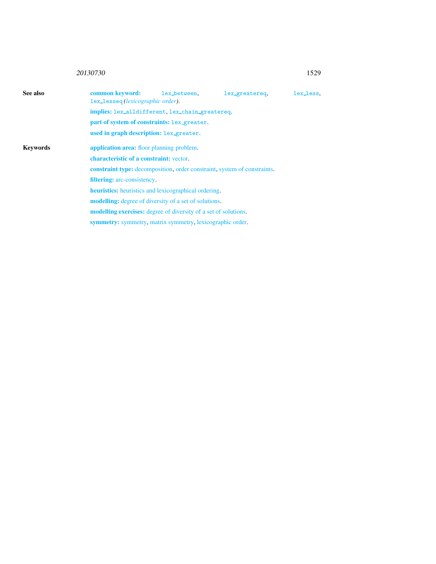## <sup>20130730</sup> 1529

<span id="page-1-0"></span>

| See also        | common keyword:<br>lex_lesseq(lexicographic order).                    | lex_between.                                                                    | lex_greatereq. | lex_less. |  |  |  |
|-----------------|------------------------------------------------------------------------|---------------------------------------------------------------------------------|----------------|-----------|--|--|--|
|                 |                                                                        | implies: lex_alldifferent, lex_chain_greatereq.                                 |                |           |  |  |  |
|                 |                                                                        | part of system of constraints: lex_greater.                                     |                |           |  |  |  |
|                 | used in graph description: lex_greater.                                |                                                                                 |                |           |  |  |  |
| <b>Keywords</b> | application area: floor planning problem.                              |                                                                                 |                |           |  |  |  |
|                 |                                                                        | <b>characteristic of a constraint:</b> vector.                                  |                |           |  |  |  |
|                 |                                                                        | <b>constraint type:</b> decomposition, order constraint, system of constraints. |                |           |  |  |  |
|                 | <b>filtering:</b> arc-consistency.                                     |                                                                                 |                |           |  |  |  |
|                 | heuristics: heuristics and lexicographical ordering.                   |                                                                                 |                |           |  |  |  |
|                 | <b>modelling:</b> degree of diversity of a set of solutions.           |                                                                                 |                |           |  |  |  |
|                 | <b>modelling exercises:</b> degree of diversity of a set of solutions. |                                                                                 |                |           |  |  |  |
|                 | symmetry: symmetry, matrix symmetry, lexicographic order.              |                                                                                 |                |           |  |  |  |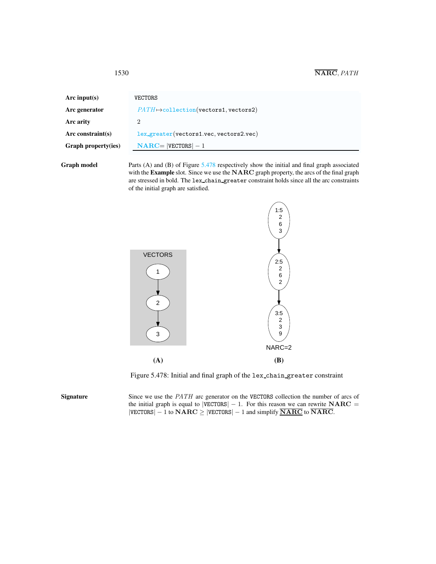| Arc input(s)               | <b>VECTORS</b>                                    |  |
|----------------------------|---------------------------------------------------|--|
| Arc generator              | $PATH \rightarrow collection(vectors1, vectors2)$ |  |
| Arc arity                  | '2                                                |  |
| Arc constraint $(s)$       | $lex\_greater(vectors1, vec, vectors2, vec)$      |  |
| <b>Graph property(ies)</b> | $NARC =  VECTORS  - 1$                            |  |
|                            |                                                   |  |

Graph model Parts (A) and (B) of Figure [5.478](#page-2-1) respectively show the initial and final graph associated with the **Example** slot. Since we use the NARC graph property, the arcs of the final graph are stressed in bold. The lex chain greater constraint holds since all the arc constraints of the initial graph are satisfied.



<span id="page-2-1"></span>Figure 5.478: Initial and final graph of the lex chain greater constraint

Signature Since we use the *PATH* arc generator on the VECTORS collection the number of arcs of the initial graph is equal to  $|VECTORS| - 1$ . For this reason we can rewrite  $NARC =$  $|VECTORS| - 1$  to  $NARC \ge |VECTORS| - 1$  and simplify  $\overline{NARC}$  to  $\overline{NARC}$ .

<span id="page-2-0"></span>